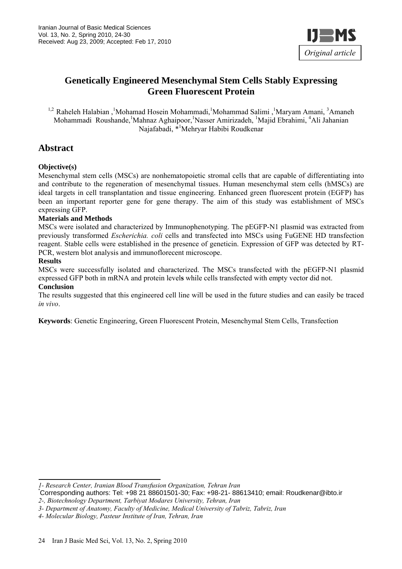

# **Genetically Engineered Mesenchymal Stem Cells Stably Expressing Green Fluorescent Protein**

<sup>1,2</sup> Raheleh Halabian, <sup>1</sup>Mohamad Hosein Mohammadi, <sup>1</sup>Mohammad Salimi, <sup>1</sup>Maryam Amani, <sup>3</sup>Amaneh Mohammadi Roushande, <sup>1</sup>Mahnaz Aghaipoor, <sup>1</sup>Nasser Amirizadeh, <sup>1</sup>Majid Ebrahimi, <sup>4</sup>Ali Jahanian Najafabadi, \*<sup>1</sup>Mehryar Habibi Roudkenar

# **Abstract**

#### **Objective(s)**

Mesenchymal stem cells (MSCs) are nonhematopoietic stromal cells that are capable of differentiating into and contribute to the regeneration of mesenchymal tissues. Human mesenchymal stem cells (hMSCs) are ideal targets in cell transplantation and tissue engineering. Enhanced green fluorescent protein (EGFP) has been an important reporter gene for gene therapy. The aim of this study was establishment of MSCs expressing GFP.

#### **Materials and Methods**

MSCs were isolated and characterized by Immunophenotyping. The pEGFP-N1 plasmid was extracted from previously transformed *Escherichia. coli* cells and transfected into MSCs using FuGENE HD transfection reagent. Stable cells were established in the presence of geneticin. Expression of GFP was detected by RT-PCR, western blot analysis and immunoflorecent microscope.

#### **Results**

MSCs were successfully isolated and characterized. The MSCs transfected with the pEGFP-N1 plasmid expressed GFP both in mRNA and protein level**s** while cells transfected with empty vector did not.

#### **Conclusion**

The results suggested that this engineered cell line will be used in the future studies and can easily be traced *in vivo*.

**Keywords**: Genetic Engineering, Green Fluorescent Protein, Mesenchymal Stem Cells, Transfection

*<sup>1-</sup> Research Center, Iranian Blood Transfusion Organization, Tehran Iran*  \* Corresponding authors: Tel: +98 21 88601501-30; Fax: +98-21- 88613410; email: Roudkenar@ibto.ir

*<sup>2-,</sup> Biotechnology Department, Tarbiyat Modares University, Tehran, Iran* 

*<sup>3-</sup> Department of Anatomy, Faculty of Medicine, Medical University of Tabriz, Tabriz, Iran* 

*<sup>4-</sup> Molecular Biology, Pasteur Institute of Iran, Tehran, Iran*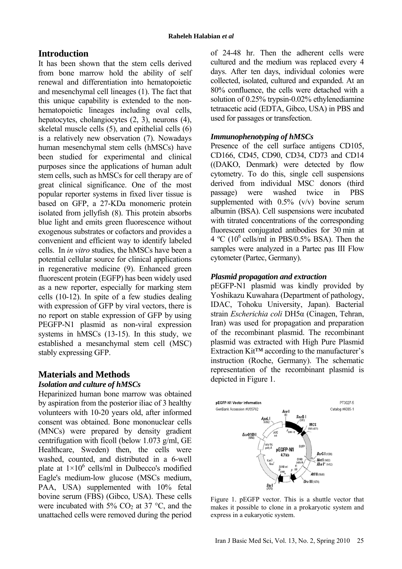# **Introduction**

It has been shown that the stem cells derived from bone marrow hold the ability of self renewal and differentiation into hematopoietic and mesenchymal cell lineages (1). The fact that this unique capability is extended to the nonhematopoietic lineages including oval cells, hepatocytes, cholangiocytes (2, 3), neurons (4), skeletal muscle cells (5), and epithelial cells (6) is a relatively new observation (7). Nowadays human mesenchymal stem cells (hMSCs) have been studied for experimental and clinical purposes since the applications of human adult stem cells, such as hMSCs for cell therapy are of great clinical significance. One of the most popular reporter systems in fixed liver tissue is based on GFP, a 27-KDa monomeric protein isolated from jellyfish (8). This protein absorbs blue light and emits green fluorescence without exogenous substrates or cofactors and provides a convenient and efficient way to identify labeled cells. In *in vitro* studies, the hMSCs have been a potential cellular source for clinical applications in regenerative medicine (9). Enhanced green fluorescent protein (EGFP) has been widely used as a new reporter, especially for marking stem cells (10-12). In spite of a few studies dealing with expression of GFP by viral vectors, there is no report on stable expression of GFP byusing PEGFP-N1 plasmid as non-viral expression systems in hMSCs (13-15). In this study, we established a mesanchymal stem cell (MSC) stably expressing GFP.

# **Materials and Methods**

## *Isolation and culture of hMSCs*

Heparinized human bone marrow was obtained by aspiration from the posterior iliac of 3 healthy volunteers with 10-20 years old, after informed consent was obtained. Bone mononuclear cells (MNCs) were prepared by density gradient centrifugation with ficoll (below 1.073 g/ml, GE Healthcare, Sweden) then, the cells were washed, counted, and distributed in a 6-well plate at  $1\times10^6$  cells/ml in Dulbecco's modified Eagle's medium-low glucose (MSCs medium, PAA, USA) supplemented with 10% fetal bovine serum (FBS) (Gibco, USA). These cells were incubated with  $5\%$  CO<sub>2</sub> at 37 °C, and the unattached cells were removed during the period

of 24-48 hr. Then the adherent cells were cultured and the medium was replaced every 4 days. After ten days, individual colonies were collected, isolated, cultured and expanded. At an 80% confluence, the cells were detached with a solution of 0.25% trypsin-0.02% ethylenediamine tetraacetic acid (EDTA, Gibco, USA) in PBS and used for passages or transfection.

#### *Immunophenotyping of hMSCs*

Presence of the cell surface antigens CD105. CD166, CD45, CD90, CD34, CD73 and CD14 ((DAKO, Denmark) were detected by flow cytometry. To do this, single cell suspensions derived from individual MSC donors (third passage) were washed twice in PBS supplemented with  $0.5\%$  (v/v) bovine serum albumin (BSA). Cell suspensions were incubated with titrated concentrations of the corresponding fluorescent conjugated antibodies for 30 min at  $4 \text{ °C}$  (10<sup>6</sup> cells/ml in PBS/0.5% BSA). Then the samples were analyzed in a Partec pas III Flow cytometer (Partec, Germany).

#### *Plasmid propagation and extraction*

pEGFP-N1 plasmid was kindly provided by Yoshikazu Kuwahara (Department of pathology, IDAC, Tohoku University, Japan). Bacterial strain *Escherichia coli* DH5α (Cinagen, Tehran, Iran) was used for propagation and preparation of the recombinant plasmid. The recombinant plasmid was extracted with High Pure Plasmid Extraction Kit™ according to the manufacturer's instruction (Roche, Germany). The schematic representation of the recombinant plasmid is depicted in Figure 1.



Figure 1. pEGFP vector. This is a shuttle vector that makes it possible to clone in a prokaryotic system and express in a eukaryotic system.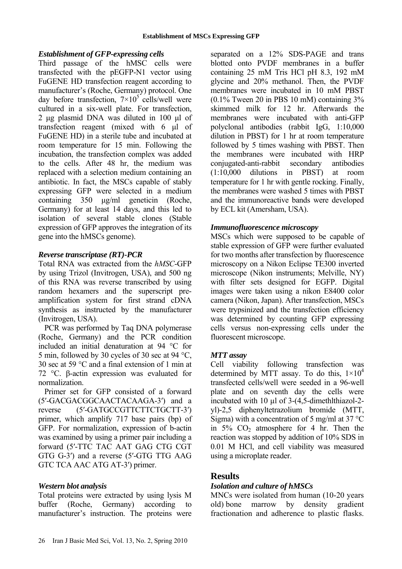## *Establishment of GFP-expressing cells*

Third passage of the hMSC cells were transfected with the pEGFP-N1 vector using FuGENE HD transfection reagent according to manufacturer's (Roche, Germany) protocol. One day before transfection,  $7 \times 10^5$  cells/well were cultured in a six-well plate. For transfection, 2 µg plasmid DNA was diluted in 100 µl of transfection reagent (mixed with 6 µl of FuGENE HD) in a sterile tube and incubated at room temperature for 15 min. Following the incubation, the transfection complex was added to the cells. After 48 hr, the medium was replaced with a selection medium containing an antibiotic. In fact, the MSCs capable of stably expressing GFP were selected in a medium containing 350 µg/ml geneticin (Roche, Germany) for at least 14 days, and this led to isolation of several stable clones (Stable expression of GFP approves the integration of its gene into the hMSCs genome).

#### *Reverse transcriptase (RT)-PCR*

Total RNA was extracted from the *hMSC*-GFP by using Trizol (Invitrogen, USA), and 500 ng of this RNA was reverse transcribed by using random hexamers and the superscript preamplification system for first strand cDNA synthesis as instructed by the manufacturer (Invitrogen, USA).

PCR was performed by Taq DNA polymerase (Roche, Germany) and the PCR condition included an initial denaturation at 94 °C for 5 min, followed by 30 cycles of 30 sec at 94 °C, 30 sec at 59 °C and a final extension of 1 min at 72 °C. β-actin expression was evaluated for normalization.

Primer set for GFP consisted of a forward (5′-GACGACGGCAACTACAAGA-3′) and a reverse (5'-GATGCCGTTCTTCTGCTT-3') primer, which amplify 717 base pairs (bp) of GFP. For normalization, expression of b-actin was examined by using a primer pair including a forward (5′-TTC TAC AAT GAG CTG CGT GTG G-3′) and a reverse (5′-GTG TTG AAG GTC TCA AAC ATG AT-3′) primer.

## *Western blot analysis*

Total proteins were extracted by using lysis M buffer (Roche, Germany) according to manufacturer's instruction. The proteins were separated on a 12% SDS-PAGE and trans blotted onto PVDF membranes in a buffer containing 25 mM Tris HCl pH 8.3, 192 mM glycine and 20% methanol. Then, the PVDF membranes were incubated in 10 mM PBST (0.1% Tween 20 in PBS 10 mM) containing 3% skimmed milk for 12 hr. Afterwards the membranes were incubated with anti-GFP polyclonal antibodies (rabbit IgG, 1:10,000 dilution in PBST) for 1 hr at room temperature followed by 5 times washing with PBST. Then the membranes were incubated with HRP conjugated-anti-rabbit secondary antibodies (1:10,000 dilutions in PBST) at room temperature for 1 hr with gentle rocking. Finally, the membranes were washed 5 times with PBST and the immunoreactive bands were developed by ECL kit (Amersham, USA).

#### *Immunofluorescence microscopy*

MSCs which were supposed to be capable of stable expression of GFP were further evaluated for two months after transfection by fluorescence microscopy on a Nikon Eclipse TE300 inverted microscope (Nikon instruments; Melville, NY) with filter sets designed for EGFP. Digital images were taken using a nikon E8400 color camera (Nikon, Japan). After transfection, MSCs were trypsinized and the transfection efficiency was determined by counting GFP expressing cells versus non-expressing cells under the fluorescent microscope.

## *MTT assay*

Cell viability following transfection was determined by MTT assay. To do this,  $1\times10^4$ transfected cells/well were seeded in a 96-well plate and on seventh day the cells were incubated with 10 µl of 3-(4,5-dimethlthiazol-2 yl)-2,5 diphenyltetrazolium bromide (MTT, Sigma) with a concentration of 5 mg/ml at 37  $^{\circ}$ C in  $5\%$  CO<sub>2</sub> atmosphere for 4 hr. Then the reaction was stopped by addition of 10% SDS in 0.01 M HCl, and cell viability was measured using a microplate reader.

## **Results**

## *Isolation and culture of hMSCs*

MNCs were isolated from human (10-20 years old)bone marrow by density gradient fractionation and adherence to plastic flasks.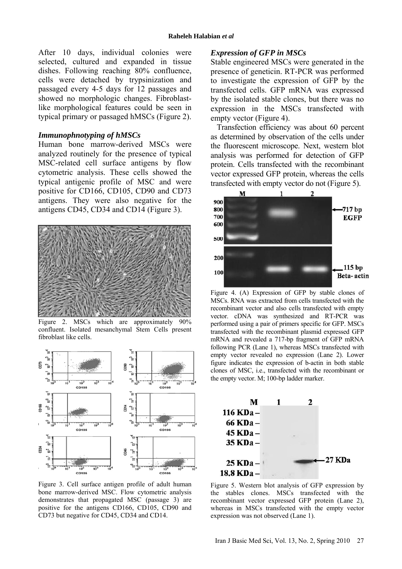After 10 days, individual colonies were selected, cultured and expanded in tissue dishes. Following reaching 80% confluence, cells were detached by trypsinization and passaged every 4-5 days for 12 passages and showed no morphologic changes. Fibroblastlike morphological features could be seen in typical primary or passaged hMSCs (Figure 2).

#### *Immunophnotyping of hMSCs*

Human bone marrow-derived MSCs were analyzed routinely for the presence of typical MSC-related cell surface antigens by flow cytometric analysis. These cells showed the typical antigenic profile of MSC and were positive for CD166, CD105, CD90 and CD73 antigens. They were also negative for the antigens CD45, CD34 and CD14 (Figure 3).



Figure 2. MSCs which are approximately  $90\%$ confluent. Isolated mesanchymal Stem Cells present fibroblast like cells.



Figure 3. Cell surface antigen profile of adult human bone marrow-derived MSC. Flow cytometric analysis demonstrates that propagated MSC (passage 3) are positive for the antigens CD166, CD105, CD90 and CD73 but negative for CD45, CD34 and CD14.

#### *Expression of GFP in MSCs*

Stable engineered MSCs were generated in the presence of geneticin. RT-PCR was performed to investigate the expression of GFP by the transfected cells. GFP mRNA was expressed by the isolated stable clones, but there was no expression in the MSCs transfected with empty vector (Figure 4).

Transfection efficiency was about 60 percent as determined by observation of the cells under the fluorescent microscope. Next, western blot analysis was performed for detection of GFP protein. Cells transfected with the recombinant vector expressed GFP protein, whereas the cells transfected with empty vector do not (Figure 5).



Figure 4. (A) Expression of GFP by stable clones of MSCs. RNA was extracted from cells transfected with the recombinant vector and also cells transfected with empty vector. cDNA was synthesized and RT-PCR was performed using a pair of primers specific for GFP. MSCs transfected with the recombinant plasmid expressed GFP mRNA and revealed a 717-bp fragment of GFP mRNA following PCR (Lane 1), whereas MSCs transfected with empty vector revealed no expression (Lane 2). Lower figure indicates the expression of b-actin in both stable clones of MSC, i.e., transfected with the recombinant or the empty vector. M; 100-bp ladder marker.



Figure 5. Western blot analysis of GFP expression by the stables clones. MSCs transfected with the recombinant vector expressed GFP protein (Lane 2), whereas in MSCs transfected with the empty vector expression was not observed (Lane 1).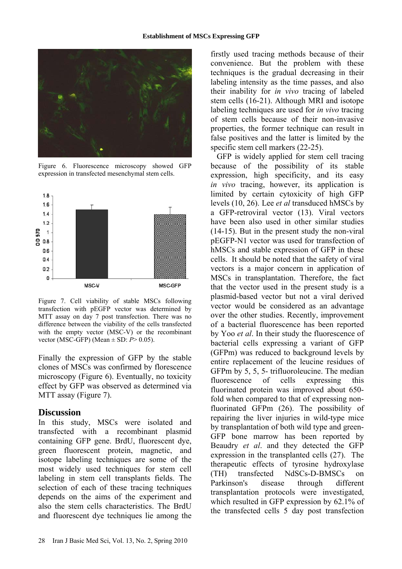

Figure 6. Fluorescence microscopy showed GFP expression in transfected mesenchymal stem cells.



Figure 7. Cell viability of stable MSCs following transfection with pEGFP vector was determined by MTT assay on day 7 post transfection. There was no difference between the viability of the cells transfected with the empty vector (MSC-V) or the recombinant vector (MSC-GFP) (Mean ± SD: *P*> 0.05).

Finally the expression of GFP by the stable clones of MSCs was confirmed by florescence microscopy (Figure 6). Eventually, no toxicity effect by GFP was observed as determined via MTT assay (Figure 7).

## **Discussion**

In this study, MSCs were isolated and transfected with a recombinant plasmid containing GFP gene. BrdU, fluorescent dye, green fluorescent protein, magnetic, and isotope labeling techniques are some of the most widely used techniques for stem cell labeling in stem cell transplants fields. The selection of each of these tracing techniques depends on the aims of the experiment and also the stem cells characteristics. The BrdU and fluorescent dye techniques lie among the firstly used tracing methods because of their convenience. But the problem with these techniques is the gradual decreasing in their labeling intensity as the time passes, and also their inability for *in vivo* tracing of labeled stem cells (16-21). Although MRI and isotope labeling techniques are used for *in vivo* tracing of stem cells because of their non-invasive properties, the former technique can result in false positives and the latter is limited by the specific stem cell markers (22-25).

GFP is widely applied for stem cell tracing because of the possibility of its stable expression, high specificity, and its easy *in vivo* tracing, however, its application is limited by certain cytoxicity of high GFP levels (10, 26). Lee *et al* transduced hMSCs by a GFP-retroviral vector (13). Viral vectors have been also used in other similar studies (14-15). But in the present study the non-viral pEGFP-N1 vector was used for transfection of hMSCs and stable expression of GFP in these cells. It should be noted that the safety of viral vectors is a major concern in application of MSCs in transplantation. Therefore, the fact that the vector used in the present study is a plasmid-based vector but not a viral derived vector would be considered as an advantage over the other studies. Recently, improvement of a bacterial fluorescence has been reported by Yoo *et al*. In their study the fluorescence of bacterial cells expressing a variant of GFP (GFPm) was reduced to background levels by entire replacement of the leucine residues of GFPm by 5, 5, 5- trifluoroleucine. The median fluorescence of cells expressing this fluorinated protein was improved about 650 fold when compared to that of expressing nonfluorinated GFPm (26). The possibility of repairing the liver injuries in wild-type mice by transplantation of both wild type and green-GFP bone marrow has been reported by Beaudry *et al*. and they detected the GFP expression in the transplanted cells (27). The therapeutic effects of tyrosine hydroxylase (TH) transfected NdSCs-D-BMSCs on Parkinson's disease through different transplantation protocols were investigated, which resulted in GFP expression by 62.1% of the transfected cells 5 day post transfection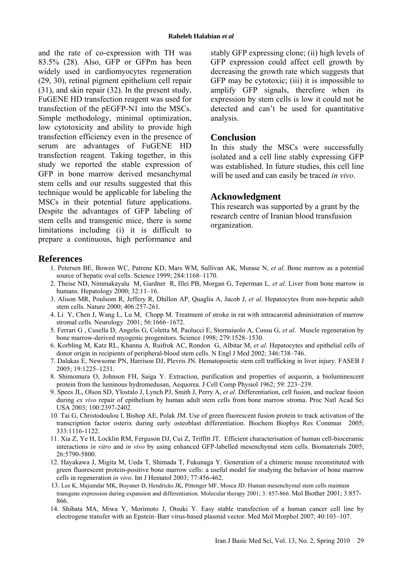and the rate of co-expression with TH was 83.5% (28). Also, GFP or GFPm has been widely used in cardiomyocytes regeneration (29, 30), retinal pigment epithelium cell repair (31), and skin repair (32). In the present study, FuGENE HD transfection reagent was used for transfection of the pEGFP-N1 into the MSCs. Simple methodology, minimal optimization, low cytotoxicity and ability to provide high transfection efficiency even in the presence of serum are advantages of FuGENE HD transfection reagent. Taking together, in this study we reported the stable expression of GFP in bone marrow derived mesanchymal stem cells and our results suggested that this technique would be applicable for labeling the MSCs in their potential future applications. Despite the advantages of GFP labeling of stem cells and transgenic mice, there is some limitations including (i) it is difficult to prepare a continuous, high performance and stably GFP expressing clone; (ii) high levels of GFP expression could affect cell growth by decreasing the growth rate which suggests that GFP may be cytotoxic; (iii) it is impossible to amplify GFP signals, therefore when its expression by stem cells is low it could not be detected and can't be used for quantitative analysis.

#### **Conclusion**

In this study the MSCs were successfully isolated and a cell line stably expressing GFP was established. In future studies, this cell line will be used and can easily be traced *in vivo*.

## **Acknowledgment**

This research was supported by a grant by the research centre of Iranian blood transfusion organization.

## **References**

- 1. Petersen BE, Bowen WC, Patrene KD, Mars WM, Sullivan AK, Murase N, *et al*. Bone marrow as a potential source of hepatic oval cells. Science 1999; 284:1168–1170.
- 2. Theise ND, Nimmakayalu M, Gardner R, Illei PB, Morgan G, Teperman L*, et al*. Liver from bone marrow in humans. Hepatology 2000; 32:11–16.
- 3. Alison MR, Poulsom R, Jeffery R, Dhillon AP, Quaglia A, Jacob J, *et al*. Hepatocytes from non-hepatic adult stem cells. Nature 2000; 406:257-261.
- 4. Li Y, Chen J, Wang L, Lu M, Chopp M. Treatment of stroke in rat with intracarotid administration of marrow stromal cells. Neurology 2001; 56:1666–1672.
- 5. Ferrari G , Cusella D, Angelis G, Coletta M, Paolucci E, Stornaiuolo A, Cossu G, *et al*. Muscle regeneration by bone marrow-derived myogenic progenitors. Science 1998; 279:1528–1530.
- 6. Korbling M, Katz RL, Khanna A, Ruifrok AC, Rondon G, Albitar M, *et al*. Hepatocytes and epithelial cells of donor origin in recipients of peripheral-blood stem cells. N Engl J Med 2002; 346:738–746.
- 7. Dalakas E, Newsome PN, Harrison DJ, Plevris JN. Hematopoietic stem cell trafficking in liver injury. FASEB J 2005; 19:1225–1231.
- 8. Shimomura O, Johnson FH, Saiga Y. Extraction, purification and properties of aequorin, a bioluminescent protein from the luminous hydromedusan, Aequorea. J Cell Comp Physiol 1962; 59: 223–239.
- 9. Spees JL, Olson SD, Ylostalo J, Lynch PJ, Smith J, Perry A, *et al*. Differentiation, cell fusion, and nuclear fusion during *ex vivo* repair of epithelium by human adult stem cells from bone marrow stroma. Proc Natl Acad Sci USA 2003; 100:2397-2402.
- 10. Tai G, Christodoulou I, Bishop AE, Polak JM. Use of green fluorescent fusion protein to track activation of the transcription factor osterix during early osteoblast differentiation. Biochem Biophys Res Commun 2005; 333:1116-1122.
- 11. Xia Z, Ye H, Locklin RM, Ferguson DJ, Cui Z, Triffitt JT. Efficient characterisation of human cell-bioceramic interactions *in vitro* and *in vivo* by using enhanced GFP-labelled mesenchymal stem cells. Biomaterials 2005; 26:5790-5800.
- 12. Hayakawa J, Migita M, Ueda T, Shimada T, Fukunaga Y. Generation of a chimeric mouse reconstituted with green fluorescent protein-positive bone marrow cells: a useful model for studying the behavior of bone marrow cells in regeneration *in vivo*. Int J Hematol 2003; 77:456-462.
- 13. Lee K, Majumdar MK, Buyaner D, Hendricks JK, Pittenger MF, Mosca JD. Human mesenchymal stem cells maintain transgene expression during expansion and differentiation. Molecular therapy 2001; 3: 857-866. Mol Biother 2001; 3:857- 866.
- 14. Shibata MA, Miwa Y, Morimoto J, Otsuki Y. Easy stable transfection of a human cancer cell line by electrogene transfer with an Epstein–Barr virus-based plasmid vector. Med Mol Morphol 2007; 40:103–107.